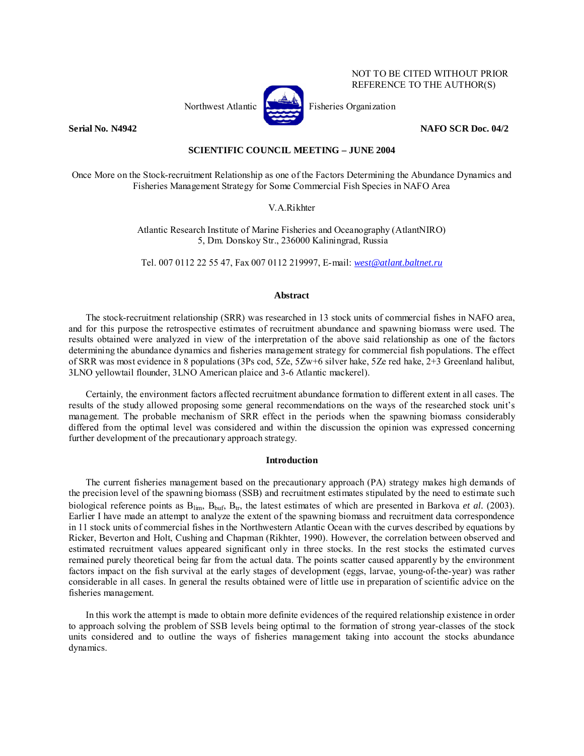

NOT TO BE CITED WITHOUT PRIOR REFERENCE TO THE AUTHOR(S)

## **Serial No. N4942** NAFO SCR Doc. 04/2

# **SCIENTIFIC COUNCIL MEETING – JUNE 2004**

Once More on the Stock-recruitment Relationship as one of the Factors Determining the Abundance Dynamics and Fisheries Management Strategy for Some Commercial Fish Species in NAFO Area

# V.A.Rikhter

Atlantic Research Institute of Marine Fisheries and Oceanography (AtlantNIRO) 5, Dm. Donskoy Str., 236000 Kaliningrad, Russia

Tel. 007 0112 22 55 47, Fax 007 0112 219997, E-mail: *west@atlant.baltnet.ru*

# **Abstract**

The stock-recruitment relationship (SRR) was researched in 13 stock units of commercial fishes in NAFO area, and for this purpose the retrospective estimates of recruitment abundance and spawning biomass were used. The results obtained were analyzed in view of the interpretation of the above said relationship as one of the factors determining the abundance dynamics and fisheries management strategy for commercial fish populations. The effect of SRR was most evidence in 8 populations (3Ps cod, 5Ze, 5Zw+6 silver hake, 5Ze red hake, 2+3 Greenland halibut, 3LNO yellowtail flounder, 3LNO American plaice and 3-6 Atlantic mackerel).

Certainly, the environment factors affected recruitment abundance formation to different extent in all cases. The results of the study allowed proposing some general recommendations on the ways of the researched stock unit's management. The probable mechanism of SRR effect in the periods when the spawning biomass considerably differed from the optimal level was considered and within the discussion the opinion was expressed concerning further development of the precautionary approach strategy.

### **Introduction**

The current fisheries management based on the precautionary approach (PA) strategy makes high demands of the precision level of the spawning biomass (SSB) and recruitment estimates stipulated by the need to estimate such biological reference points as B<sub>lim</sub>, B<sub>buf</sub>, B<sub>tr</sub>, the latest estimates of which are presented in Barkova *et al.* (2003). Earlier I have made an attempt to analyze the extent of the spawning biomass and recruitment data correspondence in 11 stock units of commercial fishes in the Northwestern Atlantic Ocean with the curves described by equations by Ricker, Beverton and Holt, Cushing and Chapman (Rikhter, 1990). However, the correlation between observed and estimated recruitment values appeared significant only in three stocks. In the rest stocks the estimated curves remained purely theoretical being far from the actual data. The points scatter caused apparently by the environment factors impact on the fish survival at the early stages of development (eggs, larvae, young-of-the-year) was rather considerable in all cases. In general the results obtained were of little use in preparation of scientific advice on the fisheries management.

In this work the attempt is made to obtain more definite evidences of the required relationship existence in order to approach solving the problem of SSB levels being optimal to the formation of strong year-classes of the stock units considered and to outline the ways of fisheries management taking into account the stocks abundance dynamics.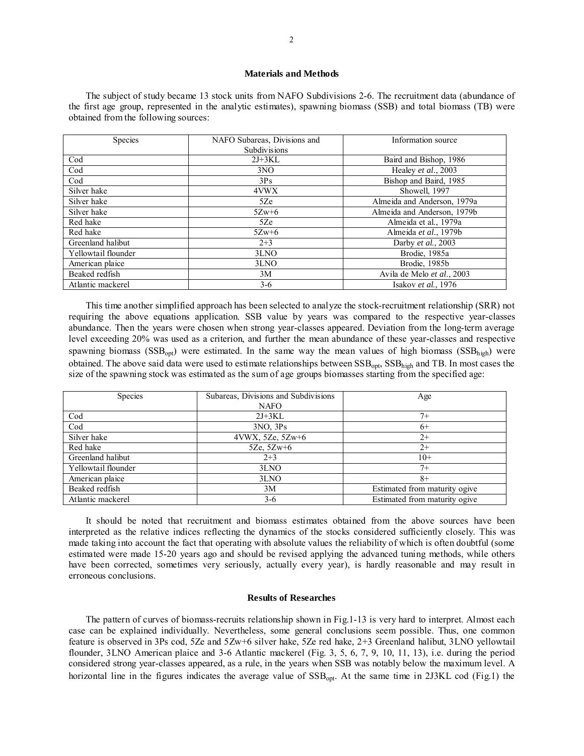### **Materials and Methods**

The subject of study became 13 stock units from NAFO Subdivisions 2-6. The recruitment data (abundance of the first age group, represented in the analytic estimates), spawning biomass (SSB) and total biomass (TB) were obtained from the following sources:

| Species             | NAFO Subareas, Divisions and | Information source          |  |
|---------------------|------------------------------|-----------------------------|--|
|                     | <b>Subdivisions</b>          |                             |  |
| Cod                 | $2J+3KL$                     | Baird and Bishop, 1986      |  |
| Cod                 | 3NO                          | Healey et al., 2003         |  |
| Cod                 | 3Ps                          | Bishop and Baird, 1985      |  |
| Silver hake         | 4VWX                         | Showell, 1997               |  |
| Silver hake         | 5Ze                          | Almeida and Anderson, 1979a |  |
| Silver hake         | $5Zw+6$                      | Almeida and Anderson, 1979b |  |
| Red hake            | 5Ze                          | Almeida et al., 1979a       |  |
| Red hake            | $5Zw+6$                      | Almeida et al., 1979b       |  |
| Greenland halibut   | $2 + 3$                      | Darby et al., 2003          |  |
| Yellowtail flounder | 3LNO                         | Brodie, 1985a               |  |
| American plaice     | 3LNO                         | Brodie, 1985b               |  |
| Beaked redfish      | 3M                           | Avila de Melo et al., 2003  |  |
| Atlantic mackerel   | $3-6$                        | Isakov et al., 1976         |  |

This time another simplified approach has been selected to analyze the stock-recruitment relationship (SRR) not requiring the above equations application. SSB value by years was compared to the respective year-classes abundance. Then the years were chosen when strong year-classes appeared. Deviation from the long-term average level exceeding 20% was used as a criterion, and further the mean abundance of these year-classes and respective spawning biomass ( $SSB<sub>opt</sub>$ ) were estimated. In the same way the mean values of high biomass ( $SSB<sub>high</sub>$ ) were obtained. The above said data were used to estimate relationships between  $SSB_{opt}$ ,  $SSB_{high}$  and TB. In most cases the size of the spawning stock was estimated as the sum of age groups biomasses starting from the specified age:

| Species             | Subareas, Divisions and Subdivisions | Age                           |  |
|---------------------|--------------------------------------|-------------------------------|--|
|                     | <b>NAFO</b>                          |                               |  |
| Cod                 | $2J+3KL$                             | $7+$                          |  |
| Cod                 | $3NO$ , $3Ps$                        | $6+$                          |  |
| Silver hake         | 4VWX, 5Ze, 5Zw+6                     | $2+$                          |  |
| Red hake            | 5Ze, $5Zw+6$                         | $2+$                          |  |
| Greenland halibut   | $2 + 3$                              | $10+$                         |  |
| Yellowtail flounder | 3LNO                                 | $7+$                          |  |
| American plaice     | 3LNO                                 | $8+$                          |  |
| Beaked redfish      | 3M                                   | Estimated from maturity ogive |  |
| Atlantic mackerel   | $3-6$                                | Estimated from maturity ogive |  |

It should be noted that recruitment and biomass estimates obtained from the above sources have been interpreted as the relative indices reflecting the dynamics of the stocks considered sufficiently closely. This was made taking into account the fact that operating with absolute values the reliability of which is often doubtful (some estimated were made 15-20 years ago and should be revised applying the advanced tuning methods, while others have been corrected, sometimes very seriously, actually every year), is hardly reasonable and may result in erroneous conclusions.

### **Results of Researches**

The pattern of curves of biomass-recruits relationship shown in Fig.1-13 is very hard to interpret. Almost each case can be explained individually. Nevertheless, some general conclusions seem possible. Thus, one common feature is observed in 3Ps cod, 5Ze and 5Zw+6 silver hake, 5Ze red hake, 2+3 Greenland halibut, 3LNO yellowtail flounder, 3LNO American plaice and 3-6 Atlantic mackerel (Fig. 3, 5, 6, 7, 9, 10, 11, 13), i.e. during the period considered strong year-classes appeared, as a rule, in the years when SSB was notably below the maximum level. A horizontal line in the figures indicates the average value of  $SSB_{opt}$ . At the same time in 2J3KL cod (Fig.1) the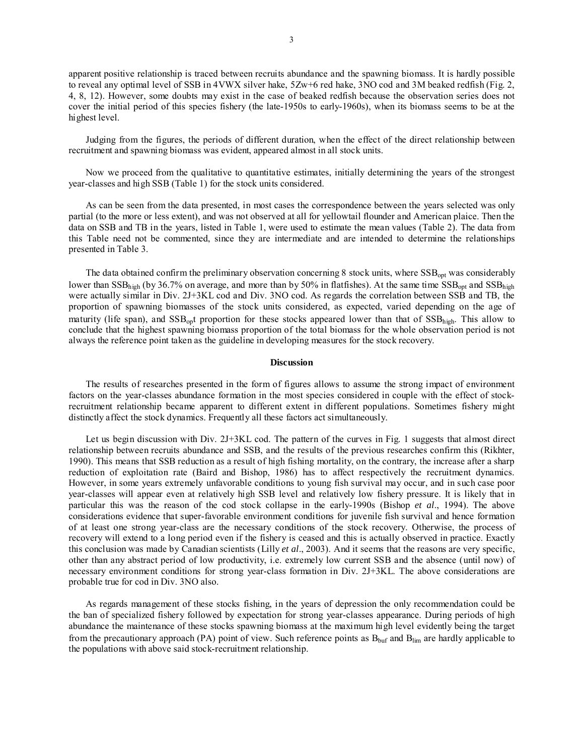apparent positive relationship is traced between recruits abundance and the spawning biomass. It is hardly possible to reveal any optimal level of SSB in 4VWX silver hake, 5Zw+6 red hake, 3NO cod and 3M beaked redfish (Fig. 2, 4, 8, 12). However, some doubts may exist in the case of beaked redfish because the observation series does not cover the initial period of this species fishery (the late-1950s to early-1960s), when its biomass seems to be at the highest level.

Judging from the figures, the periods of different duration, when the effect of the direct relationship between recruitment and spawning biomass was evident, appeared almost in all stock units.

Now we proceed from the qualitative to quantitative estimates, initially determining the years of the strongest year-classes and high SSB (Table 1) for the stock units considered.

As can be seen from the data presented, in most cases the correspondence between the years selected was only partial (to the more or less extent), and was not observed at all for yellowtail flounder and American plaice. Then the data on SSB and TB in the years, listed in Table 1, were used to estimate the mean values (Table 2). The data from this Table need not be commented, since they are intermediate and are intended to determine the relationships presented in Table 3.

The data obtained confirm the preliminary observation concerning 8 stock units, where SSB<sub>opt</sub> was considerably lower than  $SSB<sub>high</sub>$  (by 36.7% on average, and more than by 50% in flatfishes). At the same time  $SSB<sub>opt</sub>$  and  $SSB<sub>high</sub>$ were actually similar in Div. 2J+3KL cod and Div. 3NO cod. As regards the correlation between SSB and TB, the proportion of spawning biomasses of the stock units considered, as expected, varied depending on the age of maturity (life span), and  $SSB_{\text{opt}}$  proportion for these stocks appeared lower than that of  $SSB_{\text{high}}$ . This allow to conclude that the highest spawning biomass proportion of the total biomass for the whole observation period is not always the reference point taken as the guideline in developing measures for the stock recovery.

#### **Discussion**

The results of researches presented in the form of figures allows to assume the strong impact of environment factors on the year-classes abundance formation in the most species considered in couple with the effect of stockrecruitment relationship became apparent to different extent in different populations. Sometimes fishery might distinctly affect the stock dynamics. Frequently all these factors act simultaneously.

Let us begin discussion with Div. 2J+3KL cod. The pattern of the curves in Fig. 1 suggests that almost direct relationship between recruits abundance and SSB, and the results of the previous researches confirm this (Rikhter, 1990). This means that SSB reduction as a result of high fishing mortality, on the contrary, the increase after a sharp reduction of exploitation rate (Baird and Bishop, 1986) has to affect respectively the recruitment dynamics. However, in some years extremely unfavorable conditions to young fish survival may occur, and in such case poor year-classes will appear even at relatively high SSB level and relatively low fishery pressure. It is likely that in particular this was the reason of the cod stock collapse in the early-1990s (Bishop *et al*., 1994). The above considerations evidence that super-favorable environment conditions for juvenile fish survival and hence formation of at least one strong year-class are the necessary conditions of the stock recovery. Otherwise, the process of recovery will extend to a long period even if the fishery is ceased and this is actually observed in practice. Exactly this conclusion was made by Canadian scientists (Lilly *et al*., 2003). And it seems that the reasons are very specific, other than any abstract period of low productivity, i.e. extremely low current SSB and the absence (until now) of necessary environment conditions for strong year-class formation in Div. 2J+3KL. The above considerations are probable true for cod in Div. 3NO also.

As regards management of these stocks fishing, in the years of depression the only recommendation could be the ban of specialized fishery followed by expectation for strong year-classes appearance. During periods of high abundance the maintenance of these stocks spawning biomass at the maximum high level evidently being the target from the precautionary approach (PA) point of view. Such reference points as  $B_{\text{buf}}$  and  $B_{\text{lim}}$  are hardly applicable to the populations with above said stock-recruitment relationship.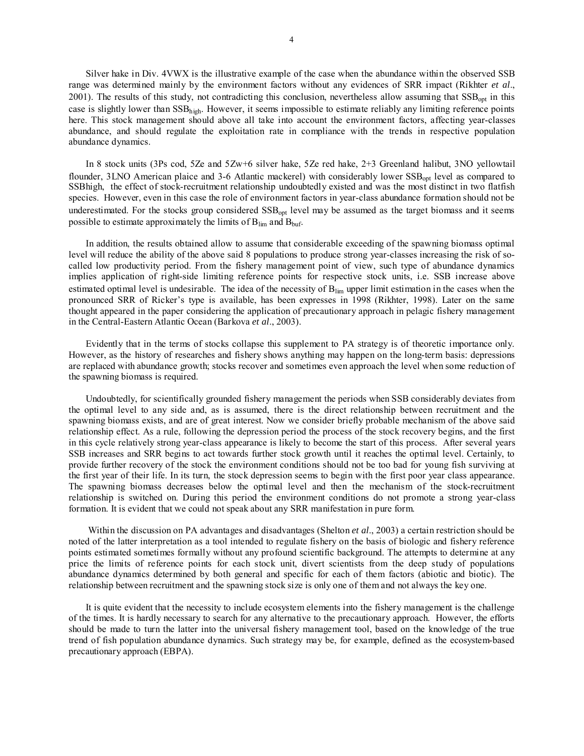Silver hake in Div. 4VWX is the illustrative example of the case when the abundance within the observed SSB range was determined mainly by the environment factors without any evidences of SRR impact (Rikhter *et al*., 2001). The results of this study, not contradicting this conclusion, nevertheless allow assuming that  $SSB<sub>opt</sub>$  in this case is slightly lower than SSB<sub>high</sub>. However, it seems impossible to estimate reliably any limiting reference points here. This stock management should above all take into account the environment factors, affecting year-classes abundance, and should regulate the exploitation rate in compliance with the trends in respective population abundance dynamics.

In 8 stock units (3Ps cod, 5Ze and 5Zw+6 silver hake, 5Ze red hake, 2+3 Greenland halibut, 3NO yellowtail flounder, 3LNO American plaice and 3-6 Atlantic mackerel) with considerably lower SSB<sub>opt</sub> level as compared to SSBhigh, the effect of stock-recruitment relationship undoubtedly existed and was the most distinct in two flatfish species. However, even in this case the role of environment factors in year-class abundance formation should not be underestimated. For the stocks group considered SSB<sub>opt</sub> level may be assumed as the target biomass and it seems possible to estimate approximately the limits of  $B_{\text{lim}}$  and  $B_{\text{buf}}$ .

In addition, the results obtained allow to assume that considerable exceeding of the spawning biomass optimal level will reduce the ability of the above said 8 populations to produce strong year-classes increasing the risk of socalled low productivity period. From the fishery management point of view, such type of abundance dynamics implies application of right-side limiting reference points for respective stock units, i.e. SSB increase above estimated optimal level is undesirable. The idea of the necessity of B<sub>lim</sub> upper limit estimation in the cases when the pronounced SRR of Ricker's type is available, has been expresses in 1998 (Rikhter, 1998). Later on the same thought appeared in the paper considering the application of precautionary approach in pelagic fishery management in the Central-Eastern Atlantic Ocean (Barkova *et al*., 2003).

Evidently that in the terms of stocks collapse this supplement to PA strategy is of theoretic importance only. However, as the history of researches and fishery shows anything may happen on the long-term basis: depressions are replaced with abundance growth; stocks recover and sometimes even approach the level when some reduction of the spawning biomass is required.

Undoubtedly, for scientifically grounded fishery management the periods when SSB considerably deviates from the optimal level to any side and, as is assumed, there is the direct relationship between recruitment and the spawning biomass exists, and are of great interest. Now we consider briefly probable mechanism of the above said relationship effect. As a rule, following the depression period the process of the stock recovery begins, and the first in this cycle relatively strong year-class appearance is likely to become the start of this process. After several years SSB increases and SRR begins to act towards further stock growth until it reaches the optimal level. Certainly, to provide further recovery of the stock the environment conditions should not be too bad for young fish surviving at the first year of their life. In its turn, the stock depression seems to begin with the first poor year class appearance. The spawning biomass decreases below the optimal level and then the mechanism of the stock-recruitment relationship is switched on. During this period the environment conditions do not promote a strong year-class formation. It is evident that we could not speak about any SRR manifestation in pure form.

 Within the discussion on PA advantages and disadvantages (Shelton *et al*., 2003) a certain restriction should be noted of the latter interpretation as a tool intended to regulate fishery on the basis of biologic and fishery reference points estimated sometimes formally without any profound scientific background. The attempts to determine at any price the limits of reference points for each stock unit, divert scientists from the deep study of populations abundance dynamics determined by both general and specific for each of them factors (abiotic and biotic). The relationship between recruitment and the spawning stock size is only one of them and not always the key one.

It is quite evident that the necessity to include ecosystem elements into the fishery management is the challenge of the times. It is hardly necessary to search for any alternative to the precautionary approach. However, the efforts should be made to turn the latter into the universal fishery management tool, based on the knowledge of the true trend of fish population abundance dynamics. Such strategy may be, for example, defined as the ecosystem-based precautionary approach (EBPA).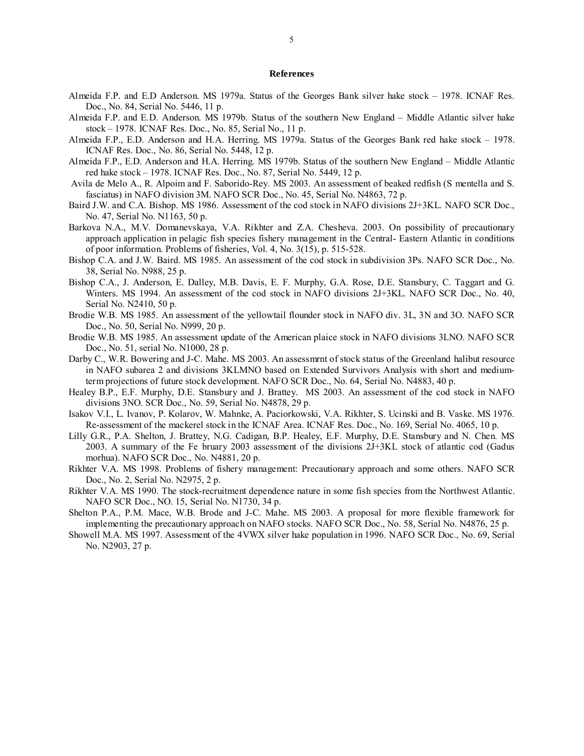#### **References**

- Almeida F.P. and E.D Anderson. MS 1979a. Status of the Georges Bank silver hake stock 1978. ICNAF Res. Doc., No. 84, Serial No. 5446, 11 p.
- Almeida F.P. and E.D. Anderson. MS 1979b. Status of the southern New England Middle Atlantic silver hake stock – 1978. ICNAF Res. Doc., No. 85, Serial No., 11 p.
- Almeida F.P., E.D. Anderson and H.A. Herring. MS 1979a. Status of the Georges Bank red hake stock 1978. ICNAF Res. Doc., No. 86, Serial No. 5448, 12 p.
- Almeida F.P., E.D. Anderson and H.A. Herring. MS 1979b. Status of the southern New England Middle Atlantic red hake stock – 1978. ICNAF Res. Doc., No. 87, Serial No. 5449, 12 p.
- Avila de Melo A., R. Alpoim and F. Saborido-Rey. MS 2003. An assessment of beaked redfish (S mentella and S. fasciatus) in NAFO division 3M. NAFO SCR Doc., No. 45, Serial No. N4863, 72 p.
- Baird J.W. and C.A. Bishop. MS 1986. Assessment of the cod stock in NAFO divisions 2J+3KL. NAFO SCR Doc., No. 47, Serial No. N1163, 50 p.
- Barkova N.A., M.V. Domanevskaya, V.A. Rikhter and Z.A. Chesheva. 2003. On possibility of precautionary approach application in pelagic fish species fishery management in the Central- Eastern Atlantic in conditions of poor information. Problems of fisheries, Vol. 4, No. 3(15), p. 515-528.
- Bishop C.A. and J.W. Baird. MS 1985. An assessment of the cod stock in subdivision 3Ps. NAFO SCR Doc., No. 38, Serial No. N988, 25 p.
- Bishop C.A., J. Anderson, E. Dalley, M.B. Davis, E. F. Murphy, G.A. Rose, D.E. Stansbury, C. Taggart and G. Winters. MS 1994. An assessment of the cod stock in NAFO divisions 2J+3KL. NAFO SCR Doc., No. 40, Serial No. N2410, 50 p.
- Brodie W.B. MS 1985. An assessment of the yellowtail flounder stock in NAFO div. 3L, 3N and 3O. NAFO SCR Doc., No. 50, Serial No. N999, 20 p.
- Brodie W.B. MS 1985. An assessment update of the American plaice stock in NAFO divisions 3LNO. NAFO SCR Doc., No. 51, serial No. N1000, 28 p.
- Darby C., W.R. Bowering and J-C. Mahe. MS 2003. An assessmrnt of stock status of the Greenland halibut resource in NAFO subarea 2 and divisions 3KLMNO based on Extended Survivors Analysis with short and mediumterm projections of future stock development. NAFO SCR Doc., No. 64, Serial No. N4883, 40 p.
- Healey B.P., E.F. Murphy, D.E. Stansbury and J. Brattey. MS 2003. An assessment of the cod stock in NAFO divisions 3NO. SCR Doc., No. 59, Serial No. N4878, 29 p.
- Isakov V.I., L. Ivanov, P. Kolarov, W. Mahnke, A. Paciorkowski, V.A. Rikhter, S. Ucinski and B. Vaske. MS 1976. Re-assessment of the mackerel stock in the ICNAF Area. ICNAF Res. Doc., No. 169, Serial No. 4065, 10 p.
- Lilly G.R., P.A. Shelton, J. Brattey, N.G. Cadigan, B.P. Healey, E.F. Murphy, D.E. Stansbury and N. Chen. MS 2003. A summary of the Fe bruary 2003 assessment of the divisions 2J+3KL stock of atlantic cod (Gadus morhua). NAFO SCR Doc., No. N4881, 20 p.
- Rikhter V.A. MS 1998. Problems of fishery management: Precautionary approach and some others. NAFO SCR Doc., No. 2, Serial No. N2975, 2 p.
- Rikhter V.A. MS 1990. The stock-recruitment dependence nature in some fish species from the Northwest Atlantic. NAFO SCR Doc., NO. 15, Serial No. N1730, 34 p.
- Shelton P.A., P.M. Mace, W.B. Brode and J-C. Mahe. MS 2003. A proposal for more flexible framework for implementing the precautionary approach on NAFO stocks. NAFO SCR Doc., No. 58, Serial No. N4876, 25 p.
- Showell M.A. MS 1997. Assessment of the 4VWX silver hake population in 1996. NAFO SCR Doc., No. 69, Serial No. N2903, 27 p.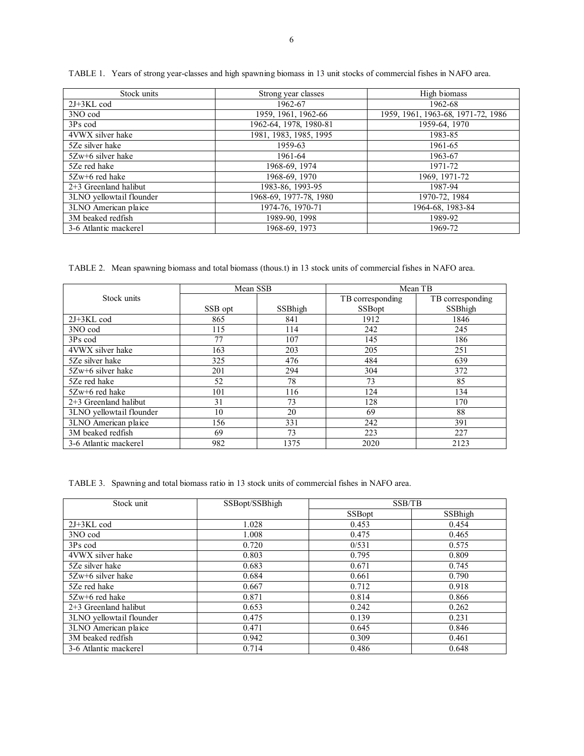| Stock units              | Strong year classes    | High biomass                       |
|--------------------------|------------------------|------------------------------------|
| $2J+3KL$ cod             | 1962-67                | 1962-68                            |
| 3NO cod                  | 1959, 1961, 1962-66    | 1959, 1961, 1963-68, 1971-72, 1986 |
| 3Ps cod                  | 1962-64, 1978, 1980-81 | 1959-64, 1970                      |
| 4VWX silver hake         | 1981, 1983, 1985, 1995 | 1983-85                            |
| 5Ze silver hake          | 1959-63                | 1961-65                            |
| $5Zw+6$ silver hake      | 1961-64                | 1963-67                            |
| 5Ze red hake             | 1968-69, 1974          | 1971-72                            |
| $5Zw+6$ red hake         | 1968-69, 1970          | 1969, 1971-72                      |
| $2+3$ Greenland halibut  | 1983-86, 1993-95       | 1987-94                            |
| 3LNO yellowtail flounder | 1968-69, 1977-78, 1980 | 1970-72, 1984                      |
| 3LNO American plaice     | 1974-76, 1970-71       | 1964-68, 1983-84                   |
| 3M beaked redfish        | 1989-90, 1998          | 1989-92                            |
| 3-6 Atlantic mackerel    | 1968-69, 1973          | 1969-72                            |

TABLE 1. Years of strong year-classes and high spawning biomass in 13 unit stocks of commercial fishes in NAFO area.

TABLE 2. Mean spawning biomass and total biomass (thous.t) in 13 stock units of commercial fishes in NAFO area.

|                          | Mean SSB |         | Mean TB          |                  |
|--------------------------|----------|---------|------------------|------------------|
| Stock units              |          |         | TB corresponding | TB corresponding |
|                          | SSB opt  | SSBhigh | <b>SSBopt</b>    | SSBhigh          |
| $2J+3KL$ cod             | 865      | 841     | 1912             | 1846             |
| 3NO cod                  | 115      | 114     | 242              | 245              |
| 3Ps cod                  | 77       | 107     | 145              | 186              |
| 4VWX silver hake         | 163      | 203     | 205              | 251              |
| 5Ze silver hake          | 325      | 476     | 484              | 639              |
| $5Zw+6$ silver hake      | 201      | 294     | 304              | 372              |
| 5Ze red hake             | 52       | 78      | 73               | 85               |
| 5Zw+6 red hake           | 101      | 116     | 124              | 134              |
| $2+3$ Greenland halibut  | 31       | 73      | 128              | 170              |
| 3LNO yellowtail flounder | 10       | 20      | 69               | 88               |
| 3LNO American plaice     | 156      | 331     | 242              | 391              |
| 3M beaked redfish        | 69       | 73      | 223              | 227              |
| 3-6 Atlantic mackerel    | 982      | 1375    | 2020             | 2123             |

TABLE 3. Spawning and total biomass ratio in 13 stock units of commercial fishes in NAFO area.

| Stock unit               | SSBopt/SSBhigh |               | SSB/TB  |  |
|--------------------------|----------------|---------------|---------|--|
|                          |                | <b>SSBopt</b> | SSBhigh |  |
| $2J+3KL$ cod             | 1.028          | 0.453         | 0.454   |  |
| 3NO cod                  | 1.008          | 0.475         | 0.465   |  |
| 3Ps cod                  | 0.720          | 0/531         | 0.575   |  |
| 4VWX silver hake         | 0.803          | 0.795         | 0.809   |  |
| 5Ze silver hake          | 0.683          | 0.671         | 0.745   |  |
| $5Zw+6$ silver hake      | 0.684          | 0.661         | 0.790   |  |
| 5Ze red hake             | 0.667          | 0.712         | 0.918   |  |
| $5Zw+6$ red hake         | 0.871          | 0.814         | 0.866   |  |
| $2+3$ Greenland halibut  | 0.653          | 0.242         | 0.262   |  |
| 3LNO yellowtail flounder | 0.475          | 0.139         | 0.231   |  |
| 3LNO American plaice     | 0.471          | 0.645         | 0.846   |  |
| 3M beaked redfish        | 0.942          | 0.309         | 0.461   |  |
| 3-6 Atlantic mackerel    | 0.714          | 0.486         | 0.648   |  |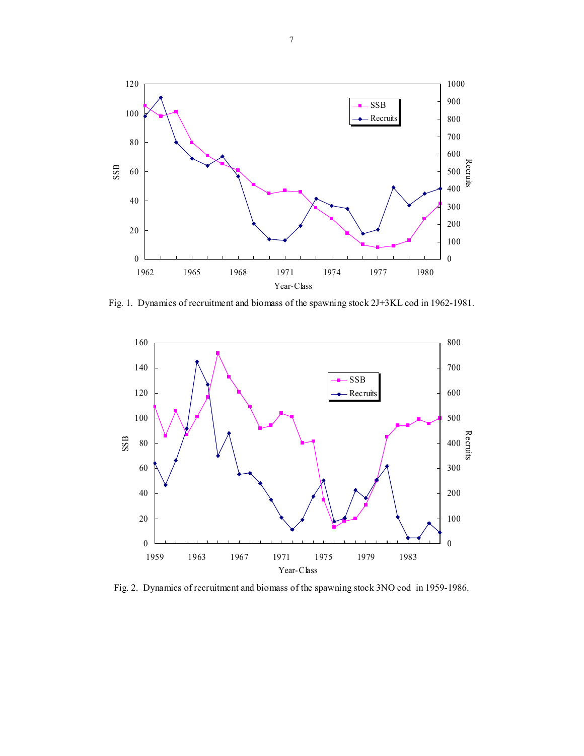

Fig. 1. Dynamics of recruitment and biomass of the spawning stock 2J+3KL cod in 1962-1981.



Fig. 2. Dynamics of recruitment and biomass of the spawning stock 3NO cod in 1959-1986.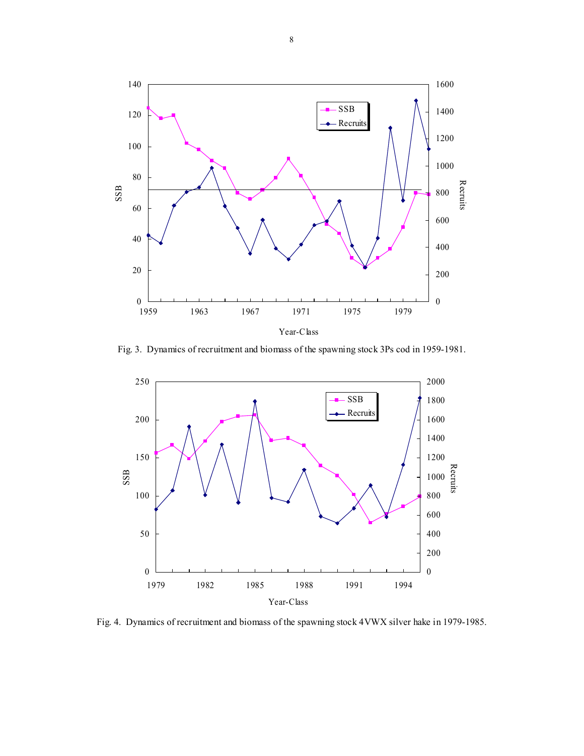

Fig. 3. Dynamics of recruitment and biomass of the spawning stock 3Ps cod in 1959-1981.



Fig. 4. Dynamics of recruitment and biomass of the spawning stock 4VWX silver hake in 1979-1985.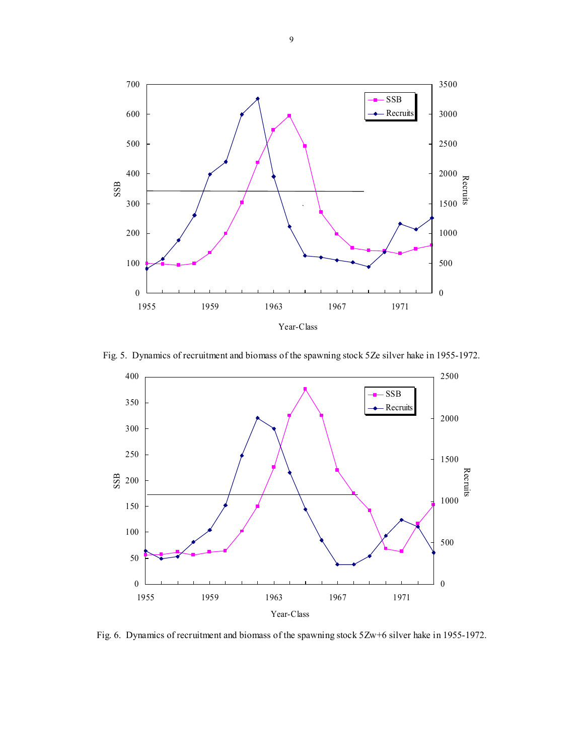

Fig. 5. Dynamics of recruitment and biomass of the spawning stock 5Ze silver hake in 1955-1972.



Fig. 6. Dynamics of recruitment and biomass of the spawning stock 5Zw+6 silver hake in 1955-1972.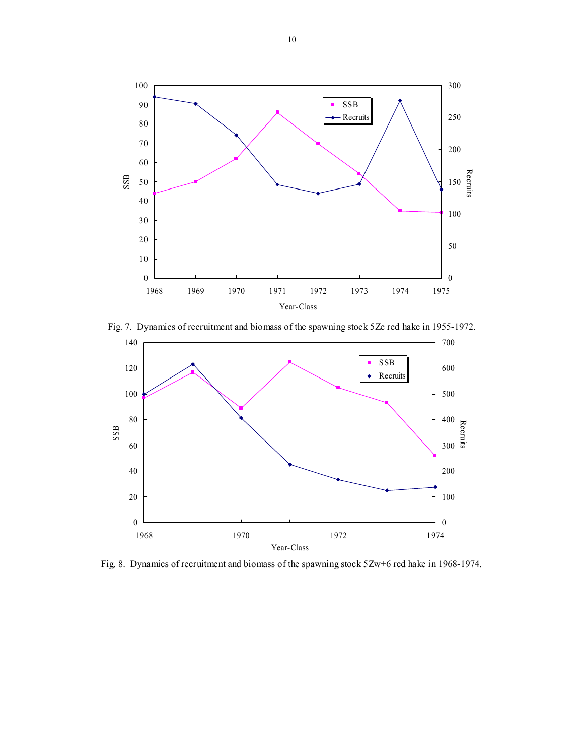

Fig. 7. Dynamics of recruitment and biomass of the spawning stock 5Ze red hake in 1955-1972.



Fig. 8. Dynamics of recruitment and biomass of the spawning stock 5Zw+6 red hake in 1968-1974.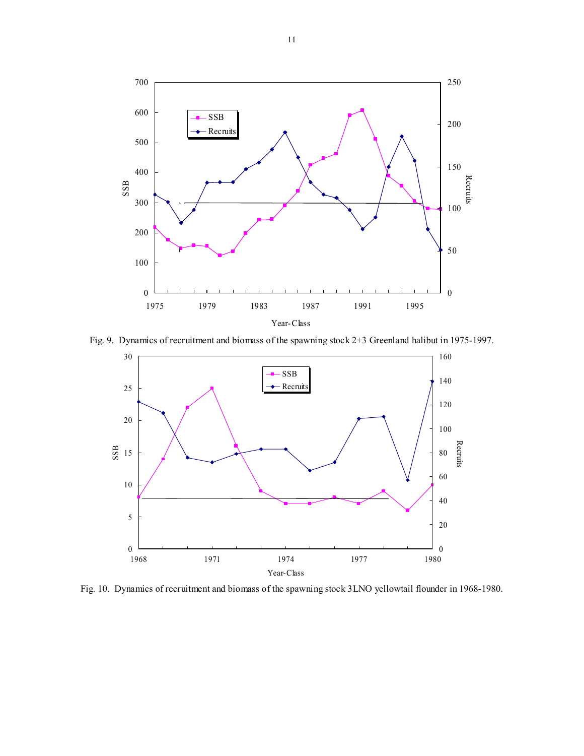

Fig. 9. Dynamics of recruitment and biomass of the spawning stock 2+3 Greenland halibut in 1975-1997.



Fig. 10. Dynamics of recruitment and biomass of the spawning stock 3LNO yellowtail flounder in 1968-1980.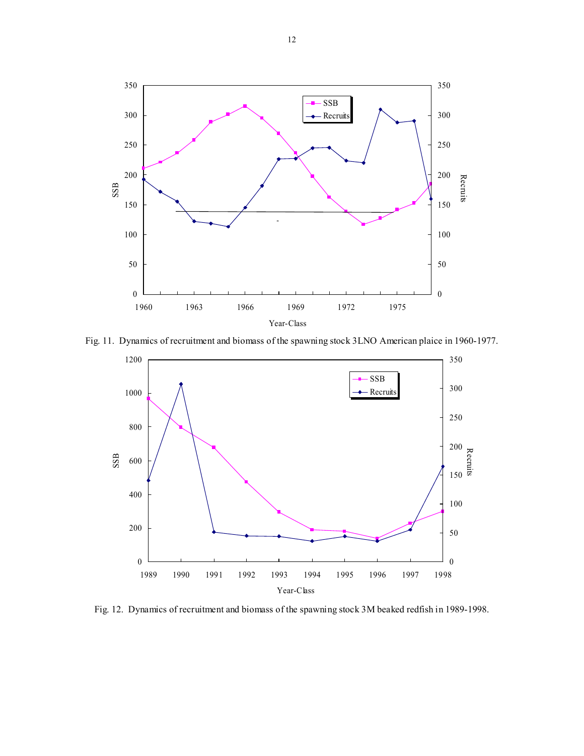

Fig. 11. Dynamics of recruitment and biomass of the spawning stock 3LNO American plaice in 1960-1977.



Fig. 12. Dynamics of recruitment and biomass of the spawning stock 3M beaked redfish in 1989-1998.